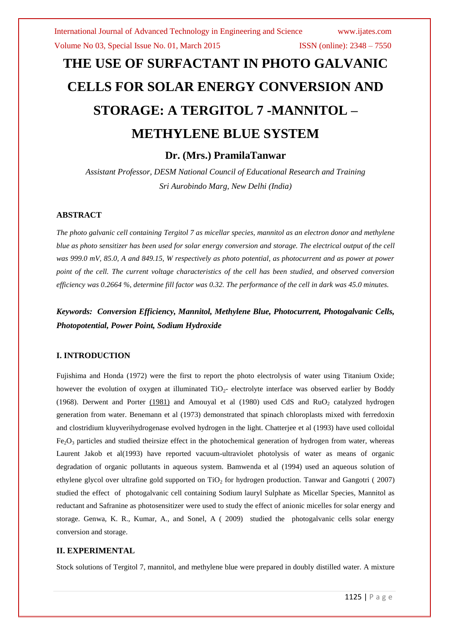# **THE USE OF SURFACTANT IN PHOTO GALVANIC CELLS FOR SOLAR ENERGY CONVERSION AND STORAGE: A TERGITOL 7 -MANNITOL – METHYLENE BLUE SYSTEM**

**Dr. (Mrs.) PramilaTanwar**

*Assistant Professor, DESM National Council of Educational Research and Training Sri Aurobindo Marg, New Delhi (India)* 

#### **ABSTRACT**

*The photo galvanic cell containing Tergitol 7 as micellar species, mannitol as an electron donor and methylene blue as photo sensitizer has been used for solar energy conversion and storage. The electrical output of the cell was 999.0 mV, 85.0, A and 849.15, W respectively as photo potential, as photocurrent and as power at power point of the cell. The current voltage characteristics of the cell has been studied, and observed conversion efficiency was 0.2664 %, determine fill factor was 0.32. The performance of the cell in dark was 45.0 minutes.*

*Keywords: Conversion Efficiency, Mannitol, Methylene Blue, Photocurrent, Photogalvanic Cells, Photopotential, Power Point, Sodium Hydroxide*

#### **I. INTRODUCTION**

Fujishima and Honda (1972) were the first to report the photo electrolysis of water using Titanium Oxide; however the evolution of oxygen at illuminated  $TiO<sub>2</sub>$ - electrolyte interface was observed earlier by Boddy (1968). Derwent and Porter  $(1981)$  and Amouyal et al (1980) used CdS and RuO<sub>2</sub> catalyzed hydrogen generation from water. Benemann et al (1973) demonstrated that spinach chloroplasts mixed with ferredoxin and clostridium kluyverihydrogenase evolved hydrogen in the light. Chatterjee et al (1993) have used colloidal Fe<sub>2</sub>O<sub>3</sub> particles and studied theirsize effect in the photochemical generation of hydrogen from water, whereas Laurent Jakob et al(1993) have reported vacuum-ultraviolet photolysis of water as means of organic degradation of organic pollutants in aqueous system. Bamwenda et al (1994) used an aqueous solution of ethylene glycol over ultrafine gold supported on  $TiO<sub>2</sub>$  for hydrogen production. Tanwar and Gangotri ( 2007) studied the effect of photogalvanic cell containing Sodium lauryl Sulphate as Micellar Species, Mannitol as reductant and Safranine as photosensitizer were used to study the effect of anionic micelles for solar energy and storage. Genwa, K. R., Kumar, A., and Sonel, A ( 2009) studied the photogalvanic cells solar energy conversion and storage.

#### **II. EXPERIMENTAL**

Stock solutions of Tergitol 7, mannitol, and methylene blue were prepared in doubly distilled water. A mixture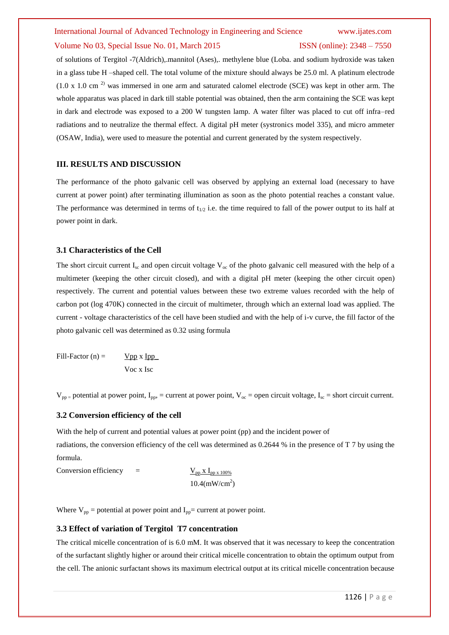of solutions of Tergitol -7(Aldrich),.mannitol (Ases),. methylene blue (Loba. and sodium hydroxide was taken in a glass tube H –shaped cell. The total volume of the mixture should always be 25.0 ml. A platinum electrode  $(1.0 \times 1.0 \text{ cm}^2)$  was immersed in one arm and saturated calomel electrode (SCE) was kept in other arm. The whole apparatus was placed in dark till stable potential was obtained, then the arm containing the SCE was kept in dark and electrode was exposed to a 200 W tungsten lamp. A water filter was placed to cut off infra–red radiations and to neutralize the thermal effect. A digital pH meter (systronics model 335), and micro ammeter (OSAW, India), were used to measure the potential and current generated by the system respectively.

#### **III. RESULTS AND DISCUSSION**

The performance of the photo galvanic cell was observed by applying an external load (necessary to have current at power point) after terminating illumination as soon as the photo potential reaches a constant value. The performance was determined in terms of  $t_{1/2}$  i.e. the time required to fall of the power output to its half at power point in dark.

#### **3.1 Characteristics of the Cell**

The short circuit current I<sub>sc</sub> and open circuit voltage  $V_{\infty}$  of the photo galvanic cell measured with the help of a multimeter (keeping the other circuit closed), and with a digital pH meter (keeping the other circuit open) respectively. The current and potential values between these two extreme values recorded with the help of carbon pot (log 470K) connected in the circuit of multimeter, through which an external load was applied. The current - voltage characteristics of the cell have been studied and with the help of i-v curve, the fill factor of the photo galvanic cell was determined as 0.32 using formula

Fill-Factor (n) =  $Vpp x Ipp$ Voc x Isc

 $V_{pp}$  = potential at power point,  $I_{pp}$  = current at power point,  $V_{oc}$  = open circuit voltage,  $I_{sc}$  = short circuit current.

#### **3.2 Conversion efficiency of the cell**

With the help of current and potential values at power point (pp) and the incident power of

radiations, the conversion efficiency of the cell was determined as 0.2644 % in the presence of T 7 by using the formula.

Conversion efficiency =  $\frac{V_{pp} X I_{pp} x 100\%}{V_{pp} Y}$  $10.4$ (mW/cm<sup>2</sup>)

Where  $V_{pp}$  = potential at power point and  $I_{pp}$  = current at power point.

#### **3.3 Effect of variation of Tergitol T7 concentration**

The critical micelle concentration of is 6.0 mM. It was observed that it was necessary to keep the concentration of the surfactant slightly higher or around their critical micelle concentration to obtain the optimum output from the cell. The anionic surfactant shows its maximum electrical output at its critical micelle concentration because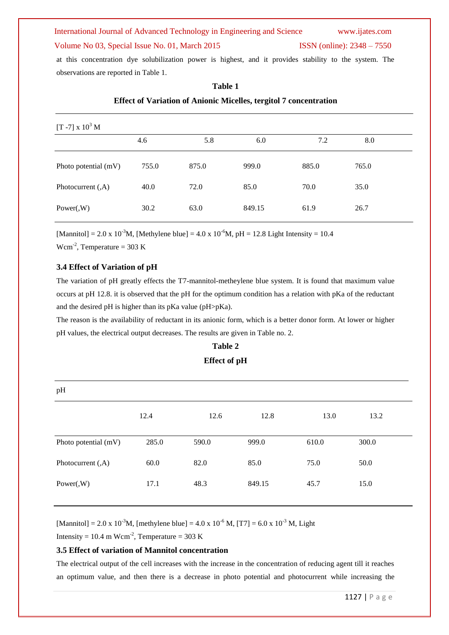at this concentration dye solubilization power is highest, and it provides stability to the system. The observations are reported in Table 1.

| [T -7] x $10^3$ M    |       |       |        |       |       |  |
|----------------------|-------|-------|--------|-------|-------|--|
|                      | 4.6   | 5.8   | 6.0    | 7.2   | 8.0   |  |
| Photo potential (mV) | 755.0 | 875.0 | 999.0  | 885.0 | 765.0 |  |
| Photocurrent $(A)$   | 40.0  | 72.0  | 85.0   | 70.0  | 35.0  |  |
| Power(W)             | 30.2  | 63.0  | 849.15 | 61.9  | 26.7  |  |

#### **Table 1**

#### **Effect of Variation of Anionic Micelles, tergitol 7 concentration**

[Mannitol] = 2.0 x 10<sup>-3</sup>M, [Methylene blue] = 4.0 x 10<sup>-6</sup>M, pH = 12.8 Light Intensity = 10.4

 $Wcm^{-2}$ , Temperature = 303 K

#### **3.4 Effect of Variation of pH**

The variation of pH greatly effects the T7-mannitol-metheylene blue system. It is found that maximum value occurs at pH 12.8. it is observed that the pH for the optimum condition has a relation with pKa of the reductant and the desired pH is higher than its pKa value (pH>pKa).

The reason is the availability of reductant in its anionic form, which is a better donor form. At lower or higher pH values, the electrical output decreases. The results are given in Table no. 2.

### **Table 2 Effect of pH**

| pH                   |       |       |        |       |       |
|----------------------|-------|-------|--------|-------|-------|
|                      | 12.4  | 12.6  | 12.8   | 13.0  | 13.2  |
| Photo potential (mV) | 285.0 | 590.0 | 999.0  | 610.0 | 300.0 |
| Photocurrent (,A)    | 60.0  | 82.0  | 85.0   | 75.0  | 50.0  |
| Power(W)             | 17.1  | 48.3  | 849.15 | 45.7  | 15.0  |

[Mannitol] = 2.0 x 10<sup>-3</sup>M, [methylene blue] = 4.0 x 10<sup>-6</sup> M, [T7] = 6.0 x 10<sup>-3</sup> M, Light

Intensity = 10.4 m Wcm<sup>-2</sup>, Temperature = 303 K

#### **3.5 Effect of variation of Mannitol concentration**

The electrical output of the cell increases with the increase in the concentration of reducing agent till it reaches an optimum value, and then there is a decrease in photo potential and photocurrent while increasing the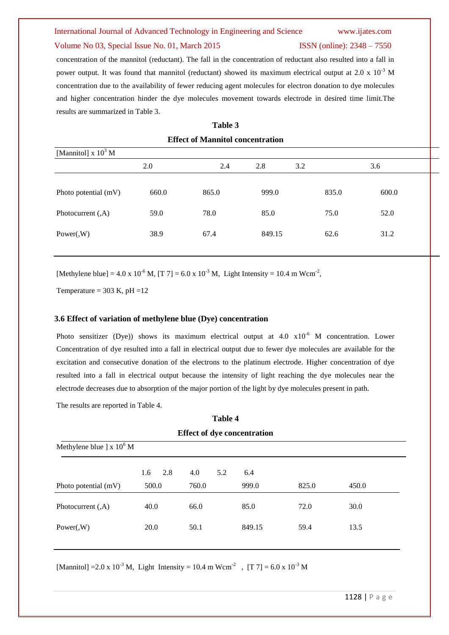# International Journal of Advanced Technology in Engineering and Science www.ijates.com

#### Volume No 03, Special Issue No. 01, March 2015 ISSN (online): 2348 – 7550

# concentration of the mannitol (reductant). The fall in the concentration of reductant also resulted into a fall in power output. It was found that mannitol (reductant) showed its maximum electrical output at 2.0 x  $10^{-3}$  M concentration due to the availability of fewer reducing agent molecules for electron donation to dye molecules and higher concentration hinder the dye molecules movement towards electrode in desired time limit.The results are summarized in Table 3.

**Table 3 Effect of Mannitol concentration**

| [Mannitol] $x 10^3$ M |       |       |        |       |       |  |
|-----------------------|-------|-------|--------|-------|-------|--|
|                       | 2.0   | 2.4   | 2.8    | 3.2   | 3.6   |  |
| Photo potential (mV)  | 660.0 | 865.0 | 999.0  | 835.0 | 600.0 |  |
| Photocurrent $(A)$    | 59.0  | 78.0  | 85.0   | 75.0  | 52.0  |  |
| Power(W)              | 38.9  | 67.4  | 849.15 | 62.6  | 31.2  |  |

[Methylene blue] =  $4.0 \times 10^{-6}$  M, [T 7] =  $6.0 \times 10^{-3}$  M, Light Intensity = 10.4 m Wcm<sup>-2</sup>,

Temperature =  $303$  K, pH =  $12$ 

#### **3.6 Effect of variation of methylene blue (Dye) concentration**

Photo sensitizer (Dye)) shows its maximum electrical output at  $4.0 \times 10^{-6}$  M concentration. Lower Concentration of dye resulted into a fall in electrical output due to fewer dye molecules are available for the excitation and consecutive donation of the electrons to the platinum electrode. Higher concentration of dye resulted into a fall in electrical output because the intensity of light reaching the dye molecules near the electrode decreases due to absorption of the major portion of the light by dye molecules present in path.

The results are reported in Table 4.

| <b>Table 4</b>                        |            |            |        |       |       |  |
|---------------------------------------|------------|------------|--------|-------|-------|--|
| <b>Effect of dye concentration</b>    |            |            |        |       |       |  |
| Methylene blue $\vert x \vert 10^6$ M |            |            |        |       |       |  |
|                                       | 2.8<br>1.6 | 4.0<br>5.2 | 6.4    |       |       |  |
| Photo potential (mV)                  | 500.0      | 760.0      | 999.0  | 825.0 | 450.0 |  |
| Photocurrent $(A)$                    | 40.0       | 66.0       | 85.0   | 72.0  | 30.0  |  |
| Power(W)                              | 20.0       | 50.1       | 849.15 | 59.4  | 13.5  |  |
|                                       |            |            |        |       |       |  |

[Mannitol] = 2.0 x 10<sup>-3</sup> M, Light Intensity = 10.4 m Wcm<sup>-2</sup>, [T 7] = 6.0 x 10<sup>-3</sup> M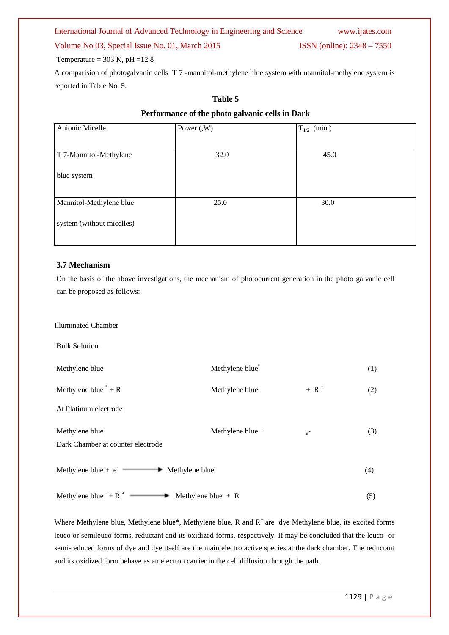Temperature =  $303$  K, pH =  $12.8$ 

A comparision of photogalvanic cells T 7 -mannitol-methylene blue system with mannitol-methylene system is reported in Table No. 5.

#### **Table 5**

#### **Performance of the photo galvanic cells in Dark**

| Anionic Micelle           | Power $(N)$ | $T_{1/2}$ (min.) |
|---------------------------|-------------|------------------|
|                           |             |                  |
| T 7-Mannitol-Methylene    | 32.0        | 45.0             |
| blue system               |             |                  |
| Mannitol-Methylene blue   | 25.0        | 30.0             |
| system (without micelles) |             |                  |

#### **3.7 Mechanism**

On the basis of the above investigations, the mechanism of photocurrent generation in the photo galvanic cell can be proposed as follows:

Illuminated Chamber

Bulk Solution

Methylene blue Methylene blue \* (1) Methylene blue  $* + R$ Methylene blue<sup>-</sup>  $+$  R<sup> $+$ </sup> (2) At Platinum electrode Methylene blue<sup>-</sup> Methylene blue +  $e$ <sup>-</sup> (3) Dark Chamber at counter electrode Methylene blue +  $e^-$  Methylene blue (4) Methylene blue  $+ R^+$  Methylene blue  $+ R$  (5)

Where Methylene blue, Methylene blue\*, Methylene blue, R and  $R^+$  are dye Methylene blue, its excited forms leuco or semileuco forms, reductant and its oxidized forms, respectively. It may be concluded that the leuco- or semi-reduced forms of dye and dye itself are the main electro active species at the dark chamber. The reductant and its oxidized form behave as an electron carrier in the cell diffusion through the path.